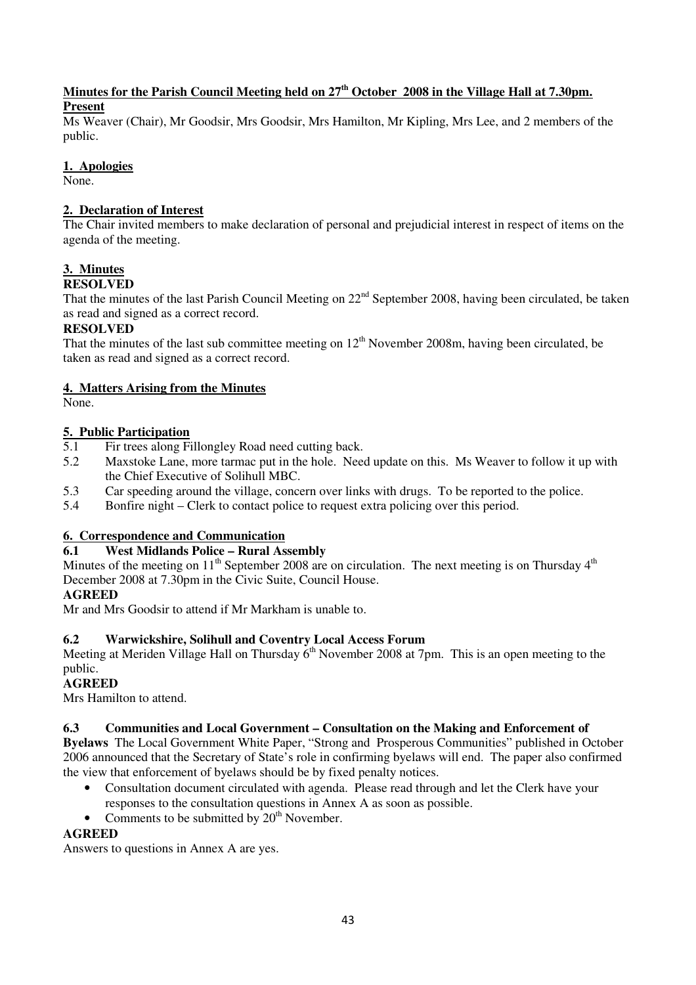#### **Minutes for the Parish Council Meeting held on 27th October 2008 in the Village Hall at 7.30pm. Present**

Ms Weaver (Chair), Mr Goodsir, Mrs Goodsir, Mrs Hamilton, Mr Kipling, Mrs Lee, and 2 members of the public.

#### **1. Apologies**

None.

#### **2. Declaration of Interest**

The Chair invited members to make declaration of personal and prejudicial interest in respect of items on the agenda of the meeting.

# **3. Minutes**

**RESOLVED** 

That the minutes of the last Parish Council Meeting on  $22<sup>nd</sup>$  September 2008, having been circulated, be taken as read and signed as a correct record.

#### **RESOLVED**

That the minutes of the last sub committee meeting on  $12<sup>th</sup>$  November 2008m, having been circulated, be taken as read and signed as a correct record.

#### **4. Matters Arising from the Minutes**

None.

# **5. Public Participation**<br>5.1 Fir trees along P

- Fir trees along Fillongley Road need cutting back.
- 5.2 Maxstoke Lane, more tarmac put in the hole. Need update on this. Ms Weaver to follow it up with the Chief Executive of Solihull MBC.
- 5.3 Car speeding around the village, concern over links with drugs. To be reported to the police.
- 5.4 Bonfire night Clerk to contact police to request extra policing over this period.

#### **6. Correspondence and Communication**

# **6.1 West Midlands Police – Rural Assembly**

Minutes of the meeting on  $11<sup>th</sup>$  September 2008 are on circulation. The next meeting is on Thursday  $4<sup>th</sup>$ December 2008 at 7.30pm in the Civic Suite, Council House.

#### **AGREED**

Mr and Mrs Goodsir to attend if Mr Markham is unable to.

#### **6.2 Warwickshire, Solihull and Coventry Local Access Forum**

Meeting at Meriden Village Hall on Thursday  $6<sup>th</sup>$  November 2008 at 7pm. This is an open meeting to the public.

#### **AGREED**

Mrs Hamilton to attend.

#### **6.3 Communities and Local Government – Consultation on the Making and Enforcement of**

**Byelaws** The Local Government White Paper, "Strong and Prosperous Communities" published in October 2006 announced that the Secretary of State's role in confirming byelaws will end. The paper also confirmed the view that enforcement of byelaws should be by fixed penalty notices.

- Consultation document circulated with agenda. Please read through and let the Clerk have your responses to the consultation questions in Annex A as soon as possible.
- Comments to be submitted by  $20<sup>th</sup>$  November.

#### **AGREED**

Answers to questions in Annex A are yes.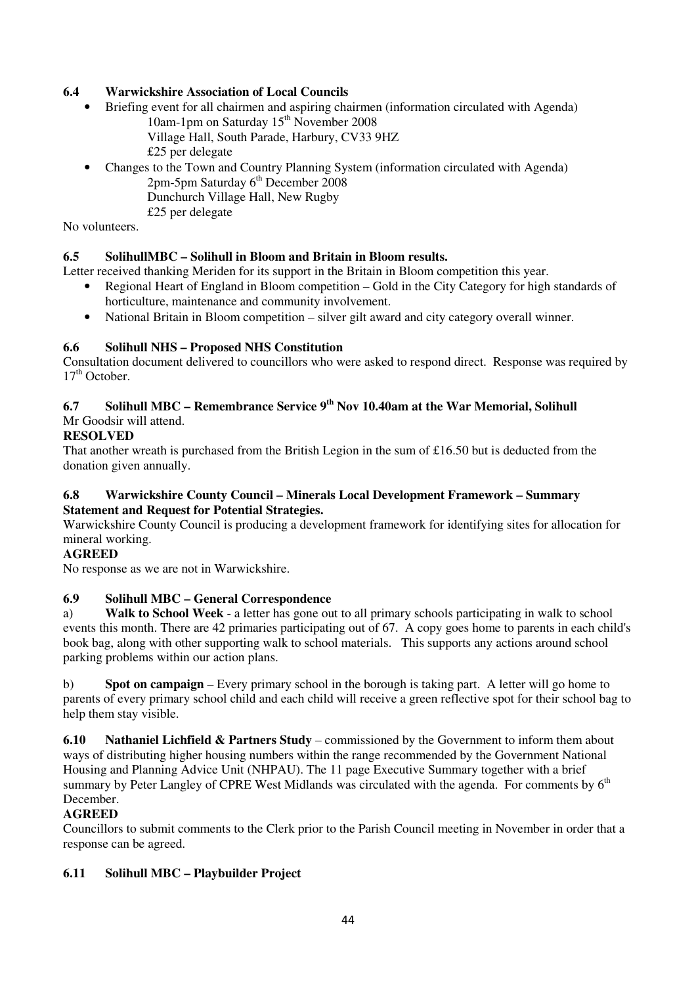### **6.4 Warwickshire Association of Local Councils**

- Briefing event for all chairmen and aspiring chairmen (information circulated with Agenda) 10am-1pm on Saturday 15<sup>th</sup> November 2008 Village Hall, South Parade, Harbury, CV33 9HZ £25 per delegate
- Changes to the Town and Country Planning System (information circulated with Agenda)  $2pm-5pm$  Saturday  $6<sup>th</sup>$  December 2008 Dunchurch Village Hall, New Rugby
	- £25 per delegate

No volunteers.

#### **6.5 SolihullMBC – Solihull in Bloom and Britain in Bloom results.**

Letter received thanking Meriden for its support in the Britain in Bloom competition this year.

- Regional Heart of England in Bloom competition Gold in the City Category for high standards of horticulture, maintenance and community involvement.
- National Britain in Bloom competition silver gilt award and city category overall winner.

#### **6.6 Solihull NHS – Proposed NHS Constitution**

Consultation document delivered to councillors who were asked to respond direct. Response was required by  $17<sup>th</sup>$  October.

# **6.7 Solihull MBC – Remembrance Service 9th Nov 10.40am at the War Memorial, Solihull**

# Mr Goodsir will attend.

#### **RESOLVED**

That another wreath is purchased from the British Legion in the sum of £16.50 but is deducted from the donation given annually.

#### **6.8 Warwickshire County Council – Minerals Local Development Framework – Summary Statement and Request for Potential Strategies.**

Warwickshire County Council is producing a development framework for identifying sites for allocation for mineral working.

#### **AGREED**

No response as we are not in Warwickshire.

#### **6.9 Solihull MBC – General Correspondence**

a) **Walk to School Week** - a letter has gone out to all primary schools participating in walk to school events this month. There are 42 primaries participating out of 67. A copy goes home to parents in each child's book bag, along with other supporting walk to school materials. This supports any actions around school parking problems within our action plans.

b) **Spot on campaign** – Every primary school in the borough is taking part. A letter will go home to parents of every primary school child and each child will receive a green reflective spot for their school bag to help them stay visible.

**6.10 Nathaniel Lichfield & Partners Study** – commissioned by the Government to inform them about ways of distributing higher housing numbers within the range recommended by the Government National Housing and Planning Advice Unit (NHPAU). The 11 page Executive Summary together with a brief summary by Peter Langley of CPRE West Midlands was circulated with the agenda. For comments by 6<sup>th</sup> December.

#### **AGREED**

Councillors to submit comments to the Clerk prior to the Parish Council meeting in November in order that a response can be agreed.

#### **6.11 Solihull MBC – Playbuilder Project**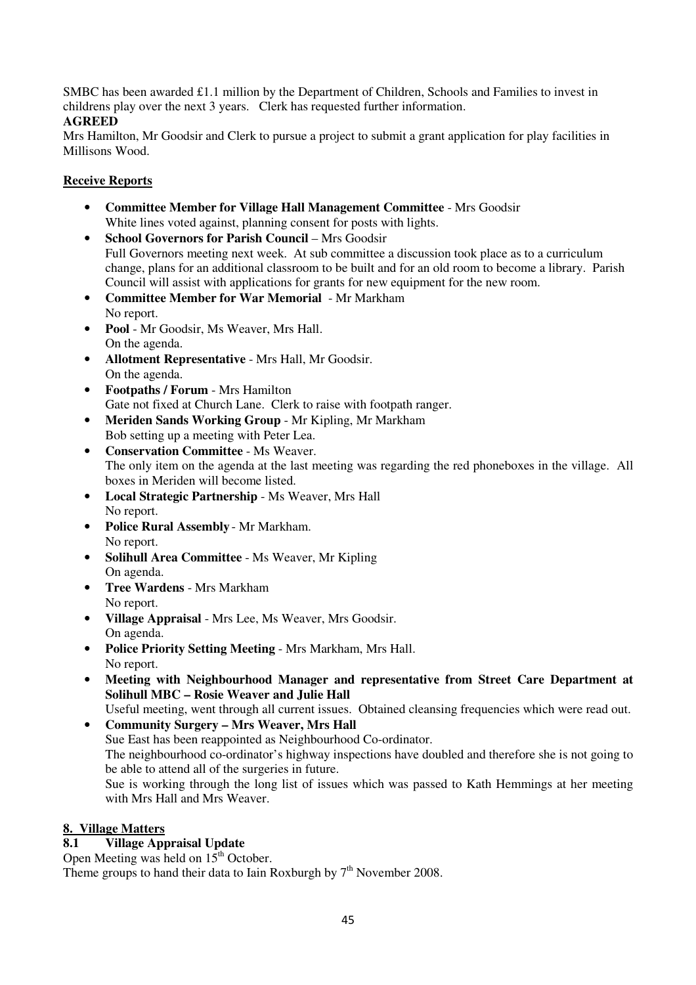SMBC has been awarded £1.1 million by the Department of Children, Schools and Families to invest in childrens play over the next 3 years. Clerk has requested further information.

# **AGREED**

Mrs Hamilton, Mr Goodsir and Clerk to pursue a project to submit a grant application for play facilities in Millisons Wood.

#### **Receive Reports**

- **Committee Member for Village Hall Management Committee** Mrs Goodsir White lines voted against, planning consent for posts with lights.
- **School Governors for Parish Council** Mrs Goodsir Full Governors meeting next week. At sub committee a discussion took place as to a curriculum change, plans for an additional classroom to be built and for an old room to become a library. Parish Council will assist with applications for grants for new equipment for the new room.
- **Committee Member for War Memorial** Mr Markham No report.
- **Pool** Mr Goodsir, Ms Weaver, Mrs Hall. On the agenda.
- **Allotment Representative** Mrs Hall, Mr Goodsir. On the agenda.
- **Footpaths / Forum** Mrs Hamilton Gate not fixed at Church Lane. Clerk to raise with footpath ranger.
- **Meriden Sands Working Group** Mr Kipling, Mr Markham Bob setting up a meeting with Peter Lea.
- **Conservation Committee** Ms Weaver. The only item on the agenda at the last meeting was regarding the red phoneboxes in the village. All boxes in Meriden will become listed.
- **Local Strategic Partnership** Ms Weaver, Mrs Hall No report.
- **Police Rural Assembly** Mr Markham. No report.
- **Solihull Area Committee** Ms Weaver, Mr Kipling On agenda.
- **Tree Wardens** Mrs Markham No report.
- **Village Appraisal** Mrs Lee, Ms Weaver, Mrs Goodsir. On agenda.
- **Police Priority Setting Meeting**  Mrs Markham, Mrs Hall. No report.
- **Meeting with Neighbourhood Manager and representative from Street Care Department at Solihull MBC – Rosie Weaver and Julie Hall**

Useful meeting, went through all current issues. Obtained cleansing frequencies which were read out.

• **Community Surgery – Mrs Weaver, Mrs Hall**  Sue East has been reappointed as Neighbourhood Co-ordinator. The neighbourhood co-ordinator's highway inspections have doubled and therefore she is not going to be able to attend all of the surgeries in future. Sue is working through the long list of issues which was passed to Kath Hemmings at her meeting with Mrs Hall and Mrs Weaver.

#### **8. Village Matters**

# **8.1 Village Appraisal Update**

Open Meeting was held on  $15<sup>th</sup>$  October.

Theme groups to hand their data to Iain Roxburgh by  $7<sup>th</sup>$  November 2008.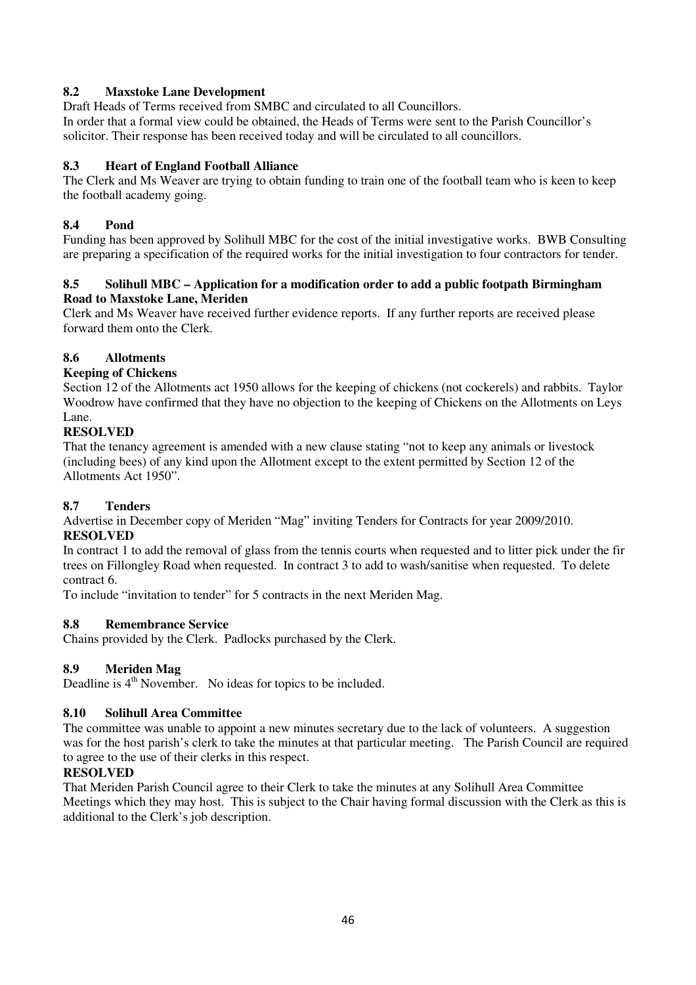#### **8.2 Maxstoke Lane Development**

Draft Heads of Terms received from SMBC and circulated to all Councillors. In order that a formal view could be obtained, the Heads of Terms were sent to the Parish Councillor's solicitor. Their response has been received today and will be circulated to all councillors.

## **8.3 Heart of England Football Alliance**

The Clerk and Ms Weaver are trying to obtain funding to train one of the football team who is keen to keep the football academy going.

#### **8.4 Pond**

Funding has been approved by Solihull MBC for the cost of the initial investigative works. BWB Consulting are preparing a specification of the required works for the initial investigation to four contractors for tender.

#### **8.5 Solihull MBC – Application for a modification order to add a public footpath Birmingham Road to Maxstoke Lane, Meriden**

Clerk and Ms Weaver have received further evidence reports. If any further reports are received please forward them onto the Clerk.

#### **8.6 Allotments**

#### **Keeping of Chickens**

Section 12 of the Allotments act 1950 allows for the keeping of chickens (not cockerels) and rabbits. Taylor Woodrow have confirmed that they have no objection to the keeping of Chickens on the Allotments on Leys Lane.

#### **RESOLVED**

That the tenancy agreement is amended with a new clause stating "not to keep any animals or livestock (including bees) of any kind upon the Allotment except to the extent permitted by Section 12 of the Allotments Act 1950".

#### **8.7 Tenders**

Advertise in December copy of Meriden "Mag" inviting Tenders for Contracts for year 2009/2010. **RESOLVED** 

In contract 1 to add the removal of glass from the tennis courts when requested and to litter pick under the fir trees on Fillongley Road when requested. In contract 3 to add to wash/sanitise when requested. To delete contract 6.

To include "invitation to tender" for 5 contracts in the next Meriden Mag.

#### **8.8 Remembrance Service**

Chains provided by the Clerk. Padlocks purchased by the Clerk.

#### **8.9 Meriden Mag**

Deadline is 4<sup>th</sup> November. No ideas for topics to be included.

#### **8.10 Solihull Area Committee**

The committee was unable to appoint a new minutes secretary due to the lack of volunteers. A suggestion was for the host parish's clerk to take the minutes at that particular meeting. The Parish Council are required to agree to the use of their clerks in this respect.

#### **RESOLVED**

That Meriden Parish Council agree to their Clerk to take the minutes at any Solihull Area Committee Meetings which they may host. This is subject to the Chair having formal discussion with the Clerk as this is additional to the Clerk's job description.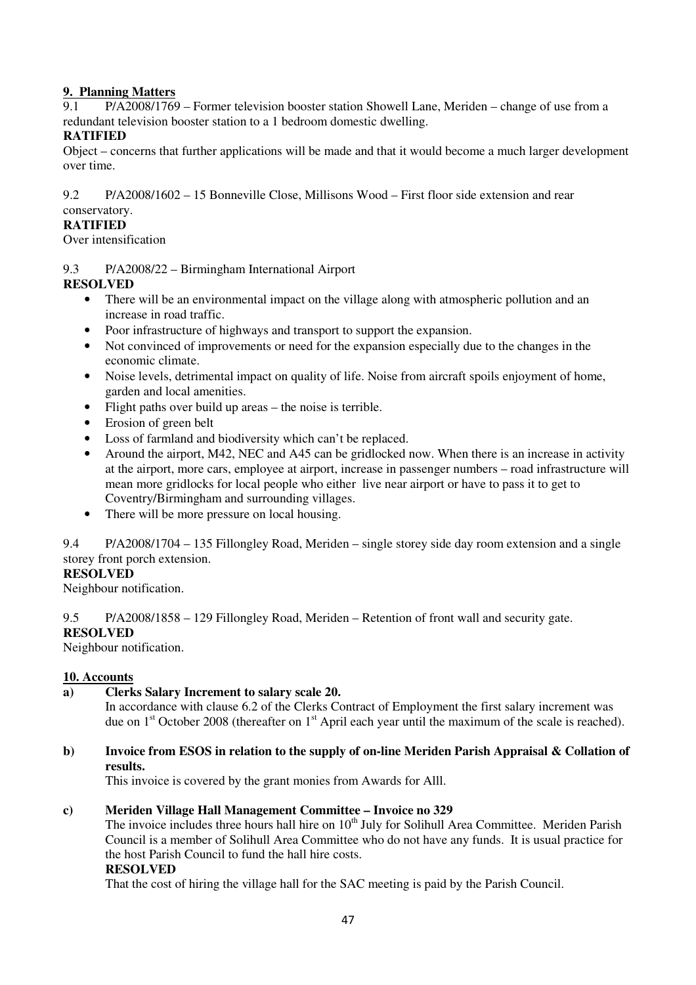#### **9. Planning Matters**

9.1 P/A2008/1769 – Former television booster station Showell Lane, Meriden – change of use from a redundant television booster station to a 1 bedroom domestic dwelling.

#### **RATIFIED**

Object – concerns that further applications will be made and that it would become a much larger development over time.

9.2 P/A2008/1602 – 15 Bonneville Close, Millisons Wood – First floor side extension and rear conservatory.

#### **RATIFIED**

Over intensification

9.3 P/A2008/22 – Birmingham International Airport

#### **RESOLVED**

- There will be an environmental impact on the village along with atmospheric pollution and an increase in road traffic.
- Poor infrastructure of highways and transport to support the expansion.
- Not convinced of improvements or need for the expansion especially due to the changes in the economic climate.
- Noise levels, detrimental impact on quality of life. Noise from aircraft spoils enjoyment of home, garden and local amenities.
- Flight paths over build up areas the noise is terrible.
- Erosion of green belt
- Loss of farmland and biodiversity which can't be replaced.
- Around the airport, M42, NEC and A45 can be gridlocked now. When there is an increase in activity at the airport, more cars, employee at airport, increase in passenger numbers – road infrastructure will mean more gridlocks for local people who either live near airport or have to pass it to get to Coventry/Birmingham and surrounding villages.
- There will be more pressure on local housing.

9.4 P/A2008/1704 – 135 Fillongley Road, Meriden – single storey side day room extension and a single storey front porch extension.

# **RESOLVED**

Neighbour notification.

9.5 P/A2008/1858 – 129 Fillongley Road, Meriden – Retention of front wall and security gate.

#### **RESOLVED**

Neighbour notification.

#### **10. Accounts**

**a) Clerks Salary Increment to salary scale 20.** 

In accordance with clause 6.2 of the Clerks Contract of Employment the first salary increment was due on  $1<sup>st</sup>$  October 2008 (thereafter on  $1<sup>st</sup>$  April each year until the maximum of the scale is reached).

#### **b) Invoice from ESOS in relation to the supply of on-line Meriden Parish Appraisal & Collation of results.**

This invoice is covered by the grant monies from Awards for Alll.

#### **c) Meriden Village Hall Management Committee – Invoice no 329**

The invoice includes three hours hall hire on 10<sup>th</sup> July for Solihull Area Committee. Meriden Parish Council is a member of Solihull Area Committee who do not have any funds. It is usual practice for the host Parish Council to fund the hall hire costs.

#### **RESOLVED**

That the cost of hiring the village hall for the SAC meeting is paid by the Parish Council.